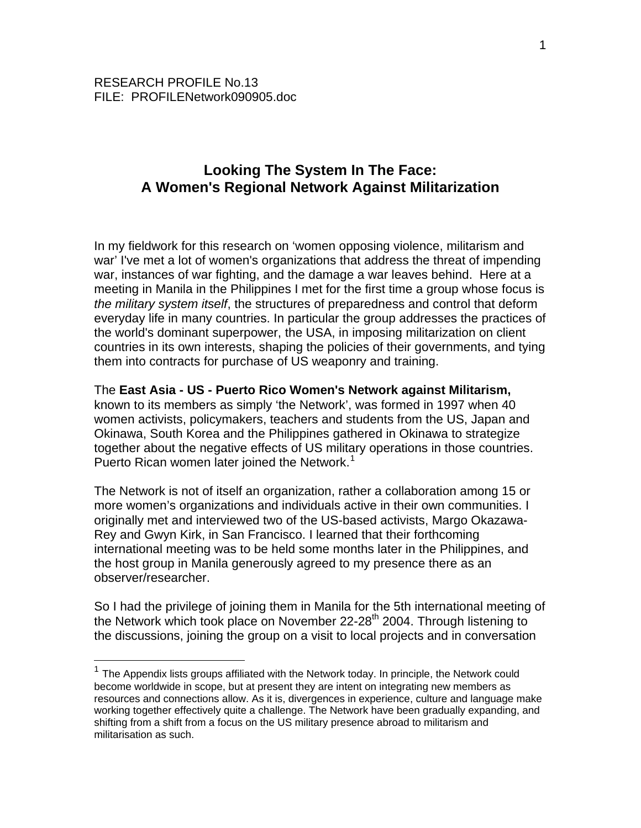$\overline{a}$ 

# **Looking The System In The Face: A Women's Regional Network Against Militarization**

In my fieldwork for this research on 'women opposing violence, militarism and war' I've met a lot of women's organizations that address the threat of impending war, instances of war fighting, and the damage a war leaves behind. Here at a meeting in Manila in the Philippines I met for the first time a group whose focus is *the military system itself*, the structures of preparedness and control that deform everyday life in many countries. In particular the group addresses the practices of the world's dominant superpower, the USA, in imposing militarization on client countries in its own interests, shaping the policies of their governments, and tying them into contracts for purchase of US weaponry and training.

#### The **East Asia - US - Puerto Rico Women's Network against Militarism,**

known to its members as simply 'the Network', was formed in 1997 when 40 women activists, policymakers, teachers and students from the US, Japan and Okinawa, South Korea and the Philippines gathered in Okinawa to strategize together about the negative effects of US military operations in those countries. Puerto Rican women later joined the Network.<sup>[1](#page-0-0)</sup>

The Network is not of itself an organization, rather a collaboration among 15 or more women's organizations and individuals active in their own communities. I originally met and interviewed two of the US-based activists, Margo Okazawa-Rey and Gwyn Kirk, in San Francisco. I learned that their forthcoming international meeting was to be held some months later in the Philippines, and the host group in Manila generously agreed to my presence there as an observer/researcher.

So I had the privilege of joining them in Manila for the 5th international meeting of the Network which took place on November 22-28<sup>th</sup> 2004. Through listening to the discussions, joining the group on a visit to local projects and in conversation

<span id="page-0-0"></span> $1$  The Appendix lists groups affiliated with the Network today. In principle, the Network could become worldwide in scope, but at present they are intent on integrating new members as resources and connections allow. As it is, divergences in experience, culture and language make working together effectively quite a challenge. The Network have been gradually expanding, and shifting from a shift from a focus on the US military presence abroad to militarism and militarisation as such.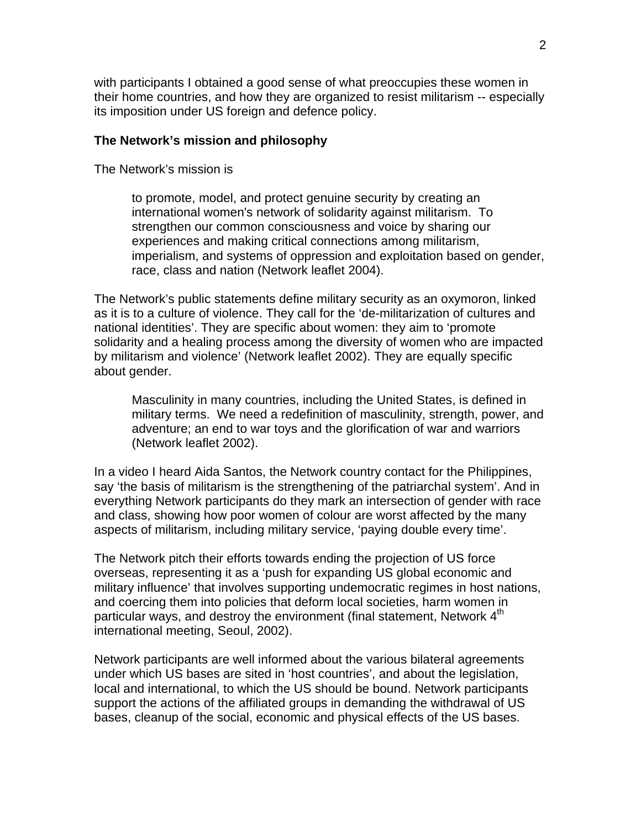with participants I obtained a good sense of what preoccupies these women in their home countries, and how they are organized to resist militarism -- especially its imposition under US foreign and defence policy.

#### **The Network's mission and philosophy**

The Network's mission is

to promote, model, and protect genuine security by creating an international women's network of solidarity against militarism. To strengthen our common consciousness and voice by sharing our experiences and making critical connections among militarism, imperialism, and systems of oppression and exploitation based on gender, race, class and nation (Network leaflet 2004).

The Network's public statements define military security as an oxymoron, linked as it is to a culture of violence. They call for the 'de-militarization of cultures and national identities'. They are specific about women: they aim to 'promote solidarity and a healing process among the diversity of women who are impacted by militarism and violence' (Network leaflet 2002). They are equally specific about gender.

Masculinity in many countries, including the United States, is defined in military terms. We need a redefinition of masculinity, strength, power, and adventure; an end to war toys and the glorification of war and warriors (Network leaflet 2002).

In a video I heard Aida Santos, the Network country contact for the Philippines, say 'the basis of militarism is the strengthening of the patriarchal system'. And in everything Network participants do they mark an intersection of gender with race and class, showing how poor women of colour are worst affected by the many aspects of militarism, including military service, 'paying double every time'.

The Network pitch their efforts towards ending the projection of US force overseas, representing it as a 'push for expanding US global economic and military influence' that involves supporting undemocratic regimes in host nations, and coercing them into policies that deform local societies, harm women in particular ways, and destroy the environment (final statement, Network 4<sup>th</sup> international meeting, Seoul, 2002).

Network participants are well informed about the various bilateral agreements under which US bases are sited in 'host countries', and about the legislation, local and international, to which the US should be bound. Network participants support the actions of the affiliated groups in demanding the withdrawal of US bases, cleanup of the social, economic and physical effects of the US bases.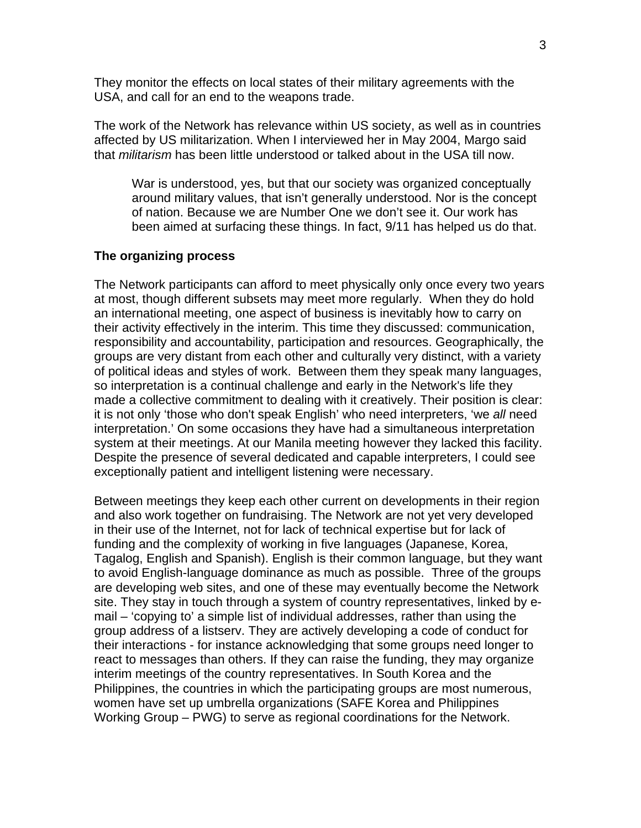They monitor the effects on local states of their military agreements with the USA, and call for an end to the weapons trade.

The work of the Network has relevance within US society, as well as in countries affected by US militarization. When I interviewed her in May 2004, Margo said that *militarism* has been little understood or talked about in the USA till now.

War is understood, yes, but that our society was organized conceptually around military values, that isn't generally understood. Nor is the concept of nation. Because we are Number One we don't see it. Our work has been aimed at surfacing these things. In fact, 9/11 has helped us do that.

#### **The organizing process**

The Network participants can afford to meet physically only once every two years at most, though different subsets may meet more regularly. When they do hold an international meeting, one aspect of business is inevitably how to carry on their activity effectively in the interim. This time they discussed: communication, responsibility and accountability, participation and resources. Geographically, the groups are very distant from each other and culturally very distinct, with a variety of political ideas and styles of work. Between them they speak many languages, so interpretation is a continual challenge and early in the Network's life they made a collective commitment to dealing with it creatively. Their position is clear: it is not only 'those who don't speak English' who need interpreters, 'we *all* need interpretation.' On some occasions they have had a simultaneous interpretation system at their meetings. At our Manila meeting however they lacked this facility. Despite the presence of several dedicated and capable interpreters, I could see exceptionally patient and intelligent listening were necessary.

Between meetings they keep each other current on developments in their region and also work together on fundraising. The Network are not yet very developed in their use of the Internet, not for lack of technical expertise but for lack of funding and the complexity of working in five languages (Japanese, Korea, Tagalog, English and Spanish). English is their common language, but they want to avoid English-language dominance as much as possible. Three of the groups are developing web sites, and one of these may eventually become the Network site. They stay in touch through a system of country representatives, linked by email – 'copying to' a simple list of individual addresses, rather than using the group address of a listserv. They are actively developing a code of conduct for their interactions - for instance acknowledging that some groups need longer to react to messages than others. If they can raise the funding, they may organize interim meetings of the country representatives. In South Korea and the Philippines, the countries in which the participating groups are most numerous, women have set up umbrella organizations (SAFE Korea and Philippines Working Group – PWG) to serve as regional coordinations for the Network.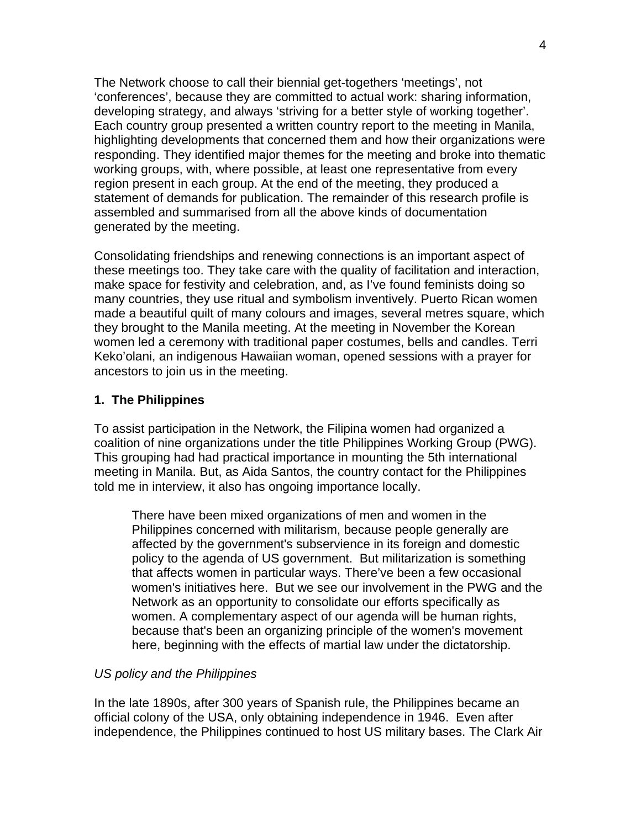The Network choose to call their biennial get-togethers 'meetings', not 'conferences', because they are committed to actual work: sharing information, developing strategy, and always 'striving for a better style of working together'. Each country group presented a written country report to the meeting in Manila, highlighting developments that concerned them and how their organizations were responding. They identified major themes for the meeting and broke into thematic working groups, with, where possible, at least one representative from every region present in each group. At the end of the meeting, they produced a statement of demands for publication. The remainder of this research profile is assembled and summarised from all the above kinds of documentation generated by the meeting.

Consolidating friendships and renewing connections is an important aspect of these meetings too. They take care with the quality of facilitation and interaction, make space for festivity and celebration, and, as I've found feminists doing so many countries, they use ritual and symbolism inventively. Puerto Rican women made a beautiful quilt of many colours and images, several metres square, which they brought to the Manila meeting. At the meeting in November the Korean women led a ceremony with traditional paper costumes, bells and candles. Terri Keko'olani, an indigenous Hawaiian woman, opened sessions with a prayer for ancestors to join us in the meeting.

# **1. The Philippines**

To assist participation in the Network, the Filipina women had organized a coalition of nine organizations under the title Philippines Working Group (PWG). This grouping had had practical importance in mounting the 5th international meeting in Manila. But, as Aida Santos, the country contact for the Philippines told me in interview, it also has ongoing importance locally.

There have been mixed organizations of men and women in the Philippines concerned with militarism, because people generally are affected by the government's subservience in its foreign and domestic policy to the agenda of US government. But militarization is something that affects women in particular ways. There've been a few occasional women's initiatives here. But we see our involvement in the PWG and the Network as an opportunity to consolidate our efforts specifically as women. A complementary aspect of our agenda will be human rights, because that's been an organizing principle of the women's movement here, beginning with the effects of martial law under the dictatorship.

### *US policy and the Philippines*

In the late 1890s, after 300 years of Spanish rule, the Philippines became an official colony of the USA, only obtaining independence in 1946. Even after independence, the Philippines continued to host US military bases. The Clark Air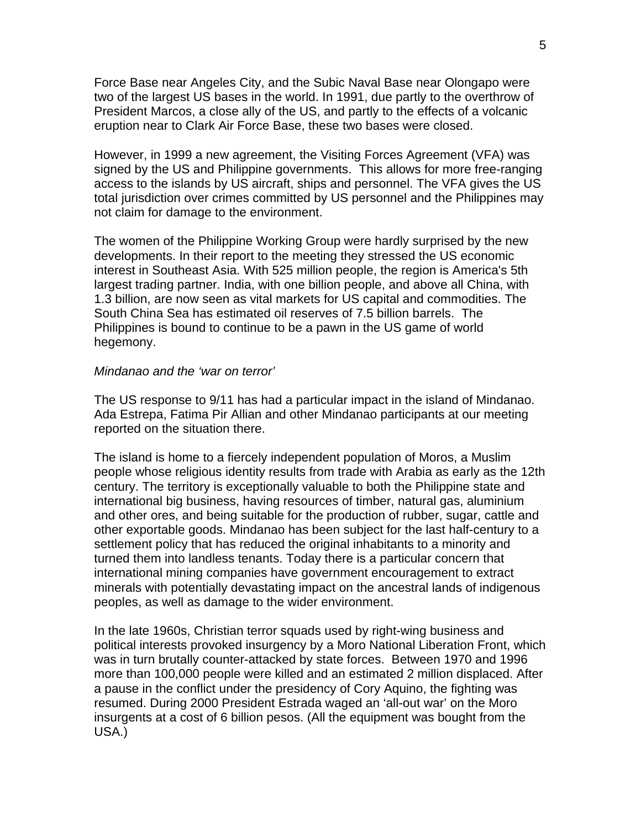Force Base near Angeles City, and the Subic Naval Base near Olongapo were two of the largest US bases in the world. In 1991, due partly to the overthrow of President Marcos, a close ally of the US, and partly to the effects of a volcanic eruption near to Clark Air Force Base, these two bases were closed.

However, in 1999 a new agreement, the Visiting Forces Agreement (VFA) was signed by the US and Philippine governments. This allows for more free-ranging access to the islands by US aircraft, ships and personnel. The VFA gives the US total jurisdiction over crimes committed by US personnel and the Philippines may not claim for damage to the environment.

The women of the Philippine Working Group were hardly surprised by the new developments. In their report to the meeting they stressed the US economic interest in Southeast Asia. With 525 million people, the region is America's 5th largest trading partner. India, with one billion people, and above all China, with 1.3 billion, are now seen as vital markets for US capital and commodities. The South China Sea has estimated oil reserves of 7.5 billion barrels. The Philippines is bound to continue to be a pawn in the US game of world hegemony.

#### *Mindanao and the 'war on terror'*

The US response to 9/11 has had a particular impact in the island of Mindanao. Ada Estrepa, Fatima Pir Allian and other Mindanao participants at our meeting reported on the situation there.

The island is home to a fiercely independent population of Moros, a Muslim people whose religious identity results from trade with Arabia as early as the 12th century. The territory is exceptionally valuable to both the Philippine state and international big business, having resources of timber, natural gas, aluminium and other ores, and being suitable for the production of rubber, sugar, cattle and other exportable goods. Mindanao has been subject for the last half-century to a settlement policy that has reduced the original inhabitants to a minority and turned them into landless tenants. Today there is a particular concern that international mining companies have government encouragement to extract minerals with potentially devastating impact on the ancestral lands of indigenous peoples, as well as damage to the wider environment.

In the late 1960s, Christian terror squads used by right-wing business and political interests provoked insurgency by a Moro National Liberation Front, which was in turn brutally counter-attacked by state forces. Between 1970 and 1996 more than 100,000 people were killed and an estimated 2 million displaced. After a pause in the conflict under the presidency of Cory Aquino, the fighting was resumed. During 2000 President Estrada waged an 'all-out war' on the Moro insurgents at a cost of 6 billion pesos. (All the equipment was bought from the USA.)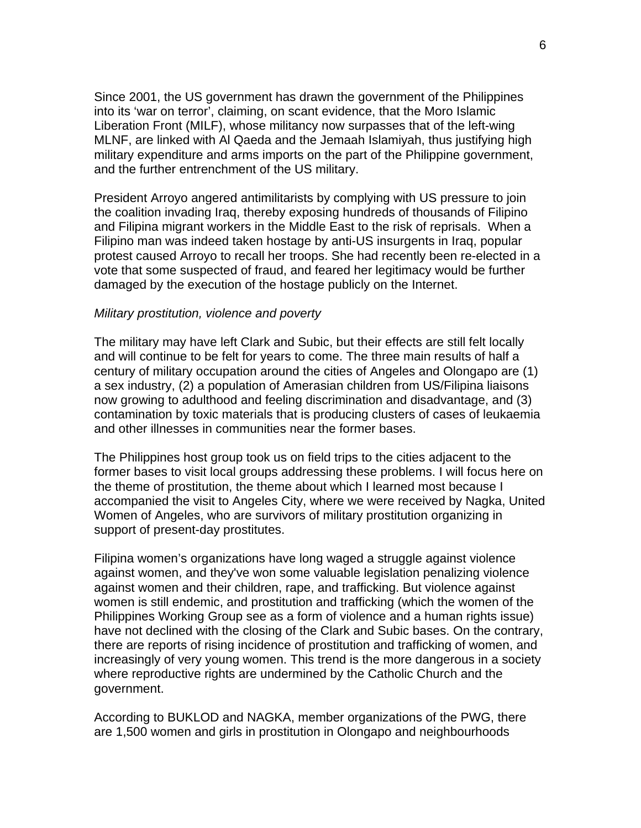Since 2001, the US government has drawn the government of the Philippines into its 'war on terror', claiming, on scant evidence, that the Moro Islamic Liberation Front (MILF), whose militancy now surpasses that of the left-wing MLNF, are linked with Al Qaeda and the Jemaah Islamiyah, thus justifying high military expenditure and arms imports on the part of the Philippine government, and the further entrenchment of the US military.

President Arroyo angered antimilitarists by complying with US pressure to join the coalition invading Iraq, thereby exposing hundreds of thousands of Filipino and Filipina migrant workers in the Middle East to the risk of reprisals. When a Filipino man was indeed taken hostage by anti-US insurgents in Iraq, popular protest caused Arroyo to recall her troops. She had recently been re-elected in a vote that some suspected of fraud, and feared her legitimacy would be further damaged by the execution of the hostage publicly on the Internet.

#### *Military prostitution, violence and poverty*

The military may have left Clark and Subic, but their effects are still felt locally and will continue to be felt for years to come. The three main results of half a century of military occupation around the cities of Angeles and Olongapo are (1) a sex industry, (2) a population of Amerasian children from US/Filipina liaisons now growing to adulthood and feeling discrimination and disadvantage, and (3) contamination by toxic materials that is producing clusters of cases of leukaemia and other illnesses in communities near the former bases.

The Philippines host group took us on field trips to the cities adjacent to the former bases to visit local groups addressing these problems. I will focus here on the theme of prostitution, the theme about which I learned most because I accompanied the visit to Angeles City, where we were received by Nagka, United Women of Angeles, who are survivors of military prostitution organizing in support of present-day prostitutes.

Filipina women's organizations have long waged a struggle against violence against women, and they've won some valuable legislation penalizing violence against women and their children, rape, and trafficking. But violence against women is still endemic, and prostitution and trafficking (which the women of the Philippines Working Group see as a form of violence and a human rights issue) have not declined with the closing of the Clark and Subic bases. On the contrary, there are reports of rising incidence of prostitution and trafficking of women, and increasingly of very young women. This trend is the more dangerous in a society where reproductive rights are undermined by the Catholic Church and the government.

According to BUKLOD and NAGKA, member organizations of the PWG, there are 1,500 women and girls in prostitution in Olongapo and neighbourhoods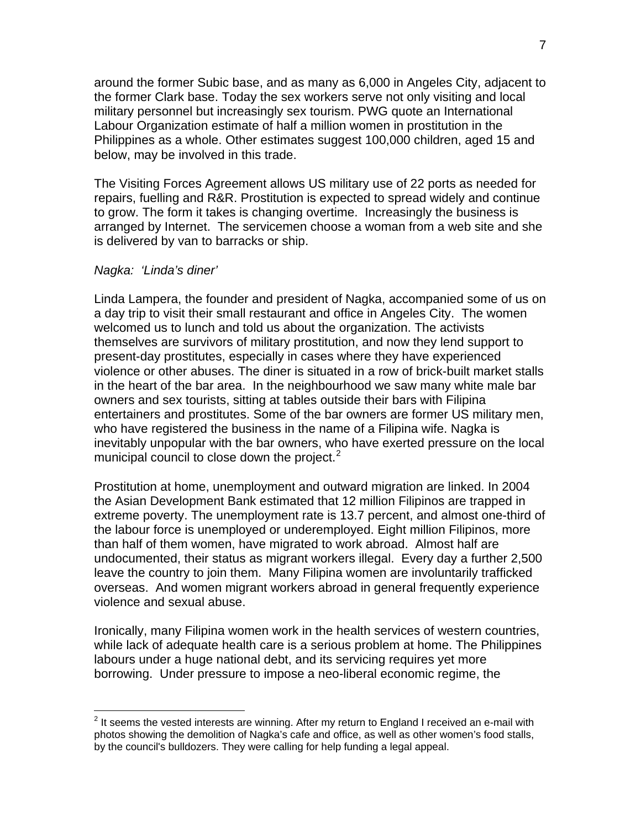around the former Subic base, and as many as 6,000 in Angeles City, adjacent to the former Clark base. Today the sex workers serve not only visiting and local military personnel but increasingly sex tourism. PWG quote an International Labour Organization estimate of half a million women in prostitution in the Philippines as a whole. Other estimates suggest 100,000 children, aged 15 and below, may be involved in this trade.

The Visiting Forces Agreement allows US military use of 22 ports as needed for repairs, fuelling and R&R. Prostitution is expected to spread widely and continue to grow. The form it takes is changing overtime. Increasingly the business is arranged by Internet. The servicemen choose a woman from a web site and she is delivered by van to barracks or ship.

### *Nagka: 'Linda's diner'*

 $\overline{a}$ 

Linda Lampera, the founder and president of Nagka, accompanied some of us on a day trip to visit their small restaurant and office in Angeles City. The women welcomed us to lunch and told us about the organization. The activists themselves are survivors of military prostitution, and now they lend support to present-day prostitutes, especially in cases where they have experienced violence or other abuses. The diner is situated in a row of brick-built market stalls in the heart of the bar area. In the neighbourhood we saw many white male bar owners and sex tourists, sitting at tables outside their bars with Filipina entertainers and prostitutes. Some of the bar owners are former US military men, who have registered the business in the name of a Filipina wife. Nagka is inevitably unpopular with the bar owners, who have exerted pressure on the local municipal council to close down the project. $2^2$  $2^2$ 

Prostitution at home, unemployment and outward migration are linked. In 2004 the Asian Development Bank estimated that 12 million Filipinos are trapped in extreme poverty. The unemployment rate is 13.7 percent, and almost one-third of the labour force is unemployed or underemployed. Eight million Filipinos, more than half of them women, have migrated to work abroad. Almost half are undocumented, their status as migrant workers illegal. Every day a further 2,500 leave the country to join them. Many Filipina women are involuntarily trafficked overseas. And women migrant workers abroad in general frequently experience violence and sexual abuse.

Ironically, many Filipina women work in the health services of western countries, while lack of adequate health care is a serious problem at home. The Philippines labours under a huge national debt, and its servicing requires yet more borrowing. Under pressure to impose a neo-liberal economic regime, the

<span id="page-6-0"></span> $2$  It seems the vested interests are winning. After my return to England I received an e-mail with photos showing the demolition of Nagka's cafe and office, as well as other women's food stalls, by the council's bulldozers. They were calling for help funding a legal appeal.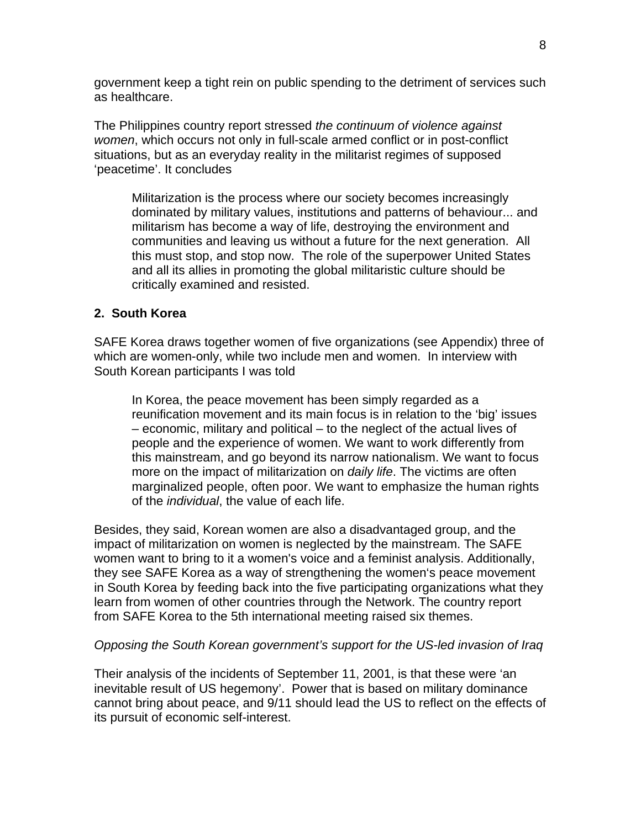government keep a tight rein on public spending to the detriment of services such as healthcare.

The Philippines country report stressed *the continuum of violence against women*, which occurs not only in full-scale armed conflict or in post-conflict situations, but as an everyday reality in the militarist regimes of supposed 'peacetime'. It concludes

Militarization is the process where our society becomes increasingly dominated by military values, institutions and patterns of behaviour... and militarism has become a way of life, destroying the environment and communities and leaving us without a future for the next generation. All this must stop, and stop now. The role of the superpower United States and all its allies in promoting the global militaristic culture should be critically examined and resisted.

# **2. South Korea**

SAFE Korea draws together women of five organizations (see Appendix) three of which are women-only, while two include men and women. In interview with South Korean participants I was told

In Korea, the peace movement has been simply regarded as a reunification movement and its main focus is in relation to the 'big' issues – economic, military and political – to the neglect of the actual lives of people and the experience of women. We want to work differently from this mainstream, and go beyond its narrow nationalism. We want to focus more on the impact of militarization on *daily life*. The victims are often marginalized people, often poor. We want to emphasize the human rights of the *individual*, the value of each life.

Besides, they said, Korean women are also a disadvantaged group, and the impact of militarization on women is neglected by the mainstream. The SAFE women want to bring to it a women's voice and a feminist analysis. Additionally, they see SAFE Korea as a way of strengthening the women's peace movement in South Korea by feeding back into the five participating organizations what they learn from women of other countries through the Network. The country report from SAFE Korea to the 5th international meeting raised six themes.

### *Opposing the South Korean government's support for the US-led invasion of Iraq*

Their analysis of the incidents of September 11, 2001, is that these were 'an inevitable result of US hegemony'. Power that is based on military dominance cannot bring about peace, and 9/11 should lead the US to reflect on the effects of its pursuit of economic self-interest.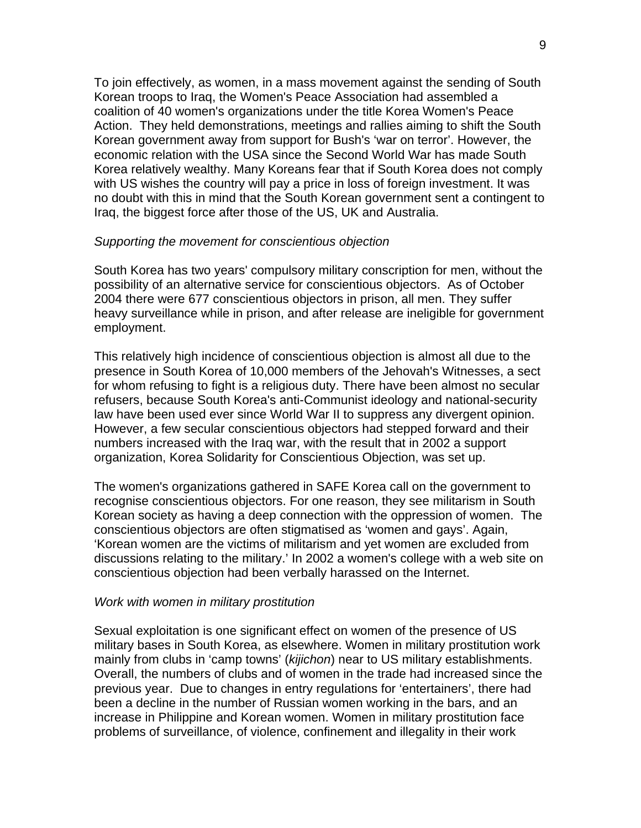To join effectively, as women, in a mass movement against the sending of South Korean troops to Iraq, the Women's Peace Association had assembled a coalition of 40 women's organizations under the title Korea Women's Peace Action. They held demonstrations, meetings and rallies aiming to shift the South Korean government away from support for Bush's 'war on terror'. However, the economic relation with the USA since the Second World War has made South Korea relatively wealthy. Many Koreans fear that if South Korea does not comply with US wishes the country will pay a price in loss of foreign investment. It was no doubt with this in mind that the South Korean government sent a contingent to Iraq, the biggest force after those of the US, UK and Australia.

#### *Supporting the movement for conscientious objection*

South Korea has two years' compulsory military conscription for men, without the possibility of an alternative service for conscientious objectors. As of October 2004 there were 677 conscientious objectors in prison, all men. They suffer heavy surveillance while in prison, and after release are ineligible for government employment.

This relatively high incidence of conscientious objection is almost all due to the presence in South Korea of 10,000 members of the Jehovah's Witnesses, a sect for whom refusing to fight is a religious duty. There have been almost no secular refusers, because South Korea's anti-Communist ideology and national-security law have been used ever since World War II to suppress any divergent opinion. However, a few secular conscientious objectors had stepped forward and their numbers increased with the Iraq war, with the result that in 2002 a support organization, Korea Solidarity for Conscientious Objection, was set up.

The women's organizations gathered in SAFE Korea call on the government to recognise conscientious objectors. For one reason, they see militarism in South Korean society as having a deep connection with the oppression of women. The conscientious objectors are often stigmatised as 'women and gays'. Again, 'Korean women are the victims of militarism and yet women are excluded from discussions relating to the military.' In 2002 a women's college with a web site on conscientious objection had been verbally harassed on the Internet.

#### *Work with women in military prostitution*

Sexual exploitation is one significant effect on women of the presence of US military bases in South Korea, as elsewhere. Women in military prostitution work mainly from clubs in 'camp towns' (*kijichon*) near to US military establishments. Overall, the numbers of clubs and of women in the trade had increased since the previous year. Due to changes in entry regulations for 'entertainers', there had been a decline in the number of Russian women working in the bars, and an increase in Philippine and Korean women. Women in military prostitution face problems of surveillance, of violence, confinement and illegality in their work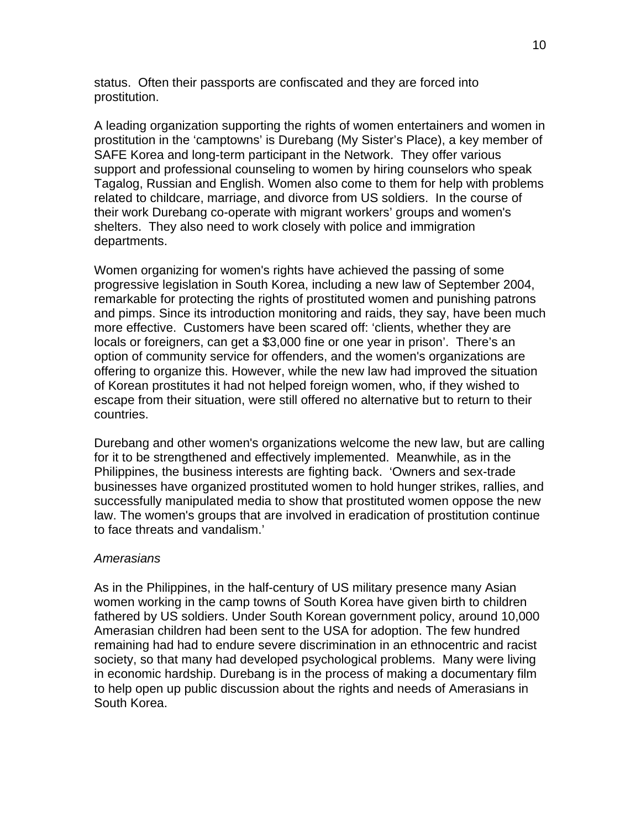status. Often their passports are confiscated and they are forced into prostitution.

A leading organization supporting the rights of women entertainers and women in prostitution in the 'camptowns' is Durebang (My Sister's Place), a key member of SAFE Korea and long-term participant in the Network. They offer various support and professional counseling to women by hiring counselors who speak Tagalog, Russian and English. Women also come to them for help with problems related to childcare, marriage, and divorce from US soldiers. In the course of their work Durebang co-operate with migrant workers' groups and women's shelters. They also need to work closely with police and immigration departments.

Women organizing for women's rights have achieved the passing of some progressive legislation in South Korea, including a new law of September 2004, remarkable for protecting the rights of prostituted women and punishing patrons and pimps. Since its introduction monitoring and raids, they say, have been much more effective. Customers have been scared off: 'clients, whether they are locals or foreigners, can get a \$3,000 fine or one year in prison'. There's an option of community service for offenders, and the women's organizations are offering to organize this. However, while the new law had improved the situation of Korean prostitutes it had not helped foreign women, who, if they wished to escape from their situation, were still offered no alternative but to return to their countries.

Durebang and other women's organizations welcome the new law, but are calling for it to be strengthened and effectively implemented. Meanwhile, as in the Philippines, the business interests are fighting back. 'Owners and sex-trade businesses have organized prostituted women to hold hunger strikes, rallies, and successfully manipulated media to show that prostituted women oppose the new law. The women's groups that are involved in eradication of prostitution continue to face threats and vandalism.'

# *Amerasians*

As in the Philippines, in the half-century of US military presence many Asian women working in the camp towns of South Korea have given birth to children fathered by US soldiers. Under South Korean government policy, around 10,000 Amerasian children had been sent to the USA for adoption. The few hundred remaining had had to endure severe discrimination in an ethnocentric and racist society, so that many had developed psychological problems. Many were living in economic hardship. Durebang is in the process of making a documentary film to help open up public discussion about the rights and needs of Amerasians in South Korea.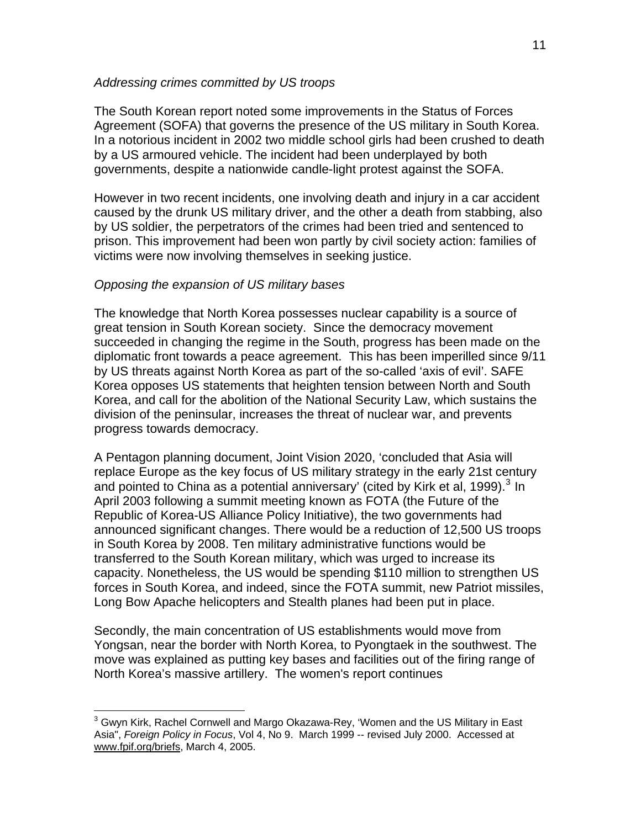### *Addressing crimes committed by US troops*

The South Korean report noted some improvements in the Status of Forces Agreement (SOFA) that governs the presence of the US military in South Korea. In a notorious incident in 2002 two middle school girls had been crushed to death by a US armoured vehicle. The incident had been underplayed by both governments, despite a nationwide candle-light protest against the SOFA.

However in two recent incidents, one involving death and injury in a car accident caused by the drunk US military driver, and the other a death from stabbing, also by US soldier, the perpetrators of the crimes had been tried and sentenced to prison. This improvement had been won partly by civil society action: families of victims were now involving themselves in seeking justice.

### *Opposing the expansion of US military bases*

 $\overline{a}$ 

The knowledge that North Korea possesses nuclear capability is a source of great tension in South Korean society. Since the democracy movement succeeded in changing the regime in the South, progress has been made on the diplomatic front towards a peace agreement. This has been imperilled since 9/11 by US threats against North Korea as part of the so-called 'axis of evil'. SAFE Korea opposes US statements that heighten tension between North and South Korea, and call for the abolition of the National Security Law, which sustains the division of the peninsular, increases the threat of nuclear war, and prevents progress towards democracy.

A Pentagon planning document, Joint Vision 2020, 'concluded that Asia will replace Europe as the key focus of US military strategy in the early 21st century and pointed to China as a potential anniversary' (cited by Kirk et al, 1999). $^3$  $^3$  In April 2003 following a summit meeting known as FOTA (the Future of the Republic of Korea-US Alliance Policy Initiative), the two governments had announced significant changes. There would be a reduction of 12,500 US troops in South Korea by 2008. Ten military administrative functions would be transferred to the South Korean military, which was urged to increase its capacity. Nonetheless, the US would be spending \$110 million to strengthen US forces in South Korea, and indeed, since the FOTA summit, new Patriot missiles, Long Bow Apache helicopters and Stealth planes had been put in place.

Secondly, the main concentration of US establishments would move from Yongsan, near the border with North Korea, to Pyongtaek in the southwest. The move was explained as putting key bases and facilities out of the firing range of North Korea's massive artillery. The women's report continues

<span id="page-10-0"></span> $3$  Gwyn Kirk, Rachel Cornwell and Margo Okazawa-Rey, 'Women and the US Military in East Asia", *Foreign Policy in Focus*, Vol 4, No 9. March 1999 -- revised July 2000. Accessed at [www.fpif.org/briefs](http://www.fpif.org/briefs), March 4, 2005.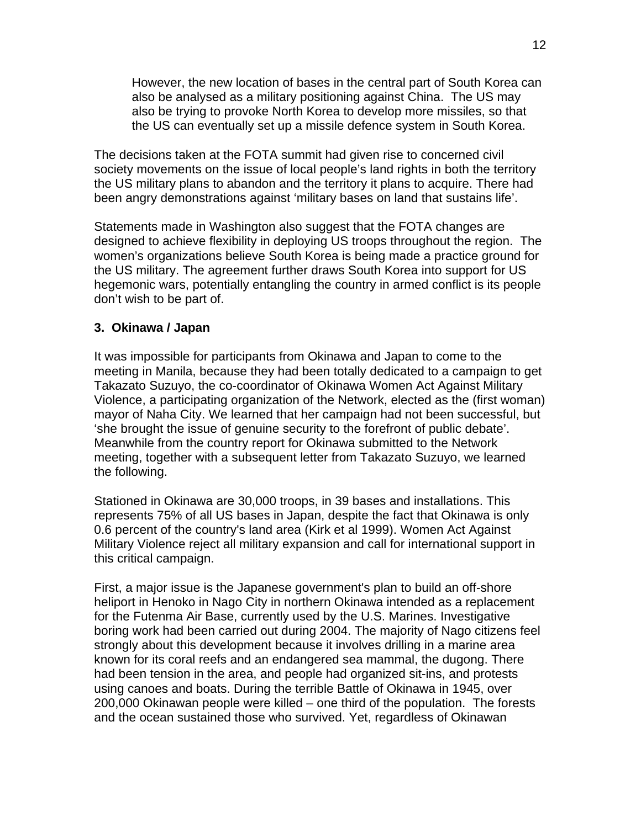However, the new location of bases in the central part of South Korea can also be analysed as a military positioning against China. The US may also be trying to provoke North Korea to develop more missiles, so that the US can eventually set up a missile defence system in South Korea.

The decisions taken at the FOTA summit had given rise to concerned civil society movements on the issue of local people's land rights in both the territory the US military plans to abandon and the territory it plans to acquire. There had been angry demonstrations against 'military bases on land that sustains life'.

Statements made in Washington also suggest that the FOTA changes are designed to achieve flexibility in deploying US troops throughout the region. The women's organizations believe South Korea is being made a practice ground for the US military. The agreement further draws South Korea into support for US hegemonic wars, potentially entangling the country in armed conflict is its people don't wish to be part of.

# **3. Okinawa / Japan**

It was impossible for participants from Okinawa and Japan to come to the meeting in Manila, because they had been totally dedicated to a campaign to get Takazato Suzuyo, the co-coordinator of Okinawa Women Act Against Military Violence, a participating organization of the Network, elected as the (first woman) mayor of Naha City. We learned that her campaign had not been successful, but 'she brought the issue of genuine security to the forefront of public debate'. Meanwhile from the country report for Okinawa submitted to the Network meeting, together with a subsequent letter from Takazato Suzuyo, we learned the following.

Stationed in Okinawa are 30,000 troops, in 39 bases and installations. This represents 75% of all US bases in Japan, despite the fact that Okinawa is only 0.6 percent of the country's land area (Kirk et al 1999). Women Act Against Military Violence reject all military expansion and call for international support in this critical campaign.

First, a major issue is the Japanese government's plan to build an off-shore heliport in Henoko in Nago City in northern Okinawa intended as a replacement for the Futenma Air Base, currently used by the U.S. Marines. Investigative boring work had been carried out during 2004. The majority of Nago citizens feel strongly about this development because it involves drilling in a marine area known for its coral reefs and an endangered sea mammal, the dugong. There had been tension in the area, and people had organized sit-ins, and protests using canoes and boats. During the terrible Battle of Okinawa in 1945, over 200,000 Okinawan people were killed – one third of the population. The forests and the ocean sustained those who survived. Yet, regardless of Okinawan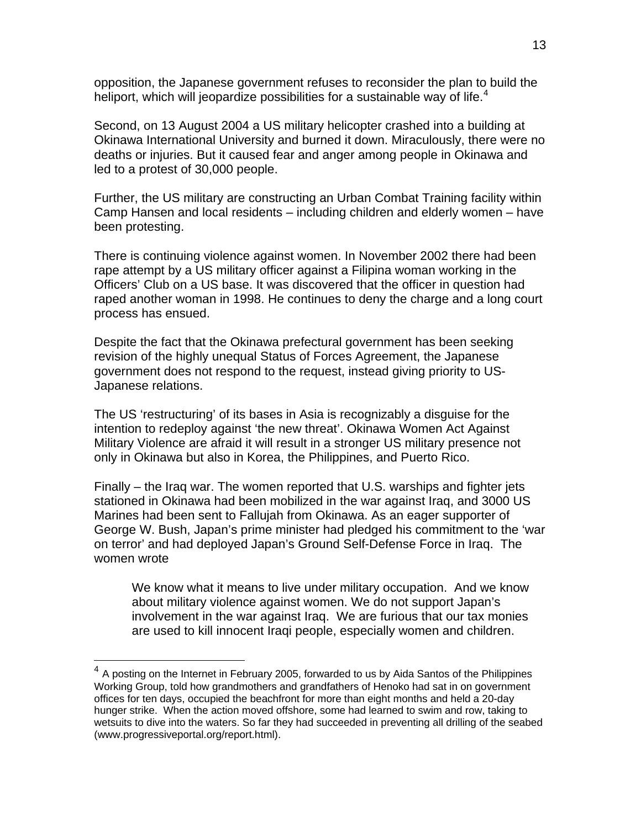opposition, the Japanese government refuses to reconsider the plan to build the heliport, which will jeopardize possibilities for a sustainable way of life. $4$ 

Second, on 13 August 2004 a US military helicopter crashed into a building at Okinawa International University and burned it down. Miraculously, there were no deaths or injuries. But it caused fear and anger among people in Okinawa and led to a protest of 30,000 people.

Further, the US military are constructing an Urban Combat Training facility within Camp Hansen and local residents – including children and elderly women – have been protesting.

There is continuing violence against women. In November 2002 there had been rape attempt by a US military officer against a Filipina woman working in the Officers' Club on a US base. It was discovered that the officer in question had raped another woman in 1998. He continues to deny the charge and a long court process has ensued.

Despite the fact that the Okinawa prefectural government has been seeking revision of the highly unequal Status of Forces Agreement, the Japanese government does not respond to the request, instead giving priority to US-Japanese relations.

The US 'restructuring' of its bases in Asia is recognizably a disguise for the intention to redeploy against 'the new threat'. Okinawa Women Act Against Military Violence are afraid it will result in a stronger US military presence not only in Okinawa but also in Korea, the Philippines, and Puerto Rico.

Finally – the Iraq war. The women reported that U.S. warships and fighter jets stationed in Okinawa had been mobilized in the war against Iraq, and 3000 US Marines had been sent to Fallujah from Okinawa. As an eager supporter of George W. Bush, Japan's prime minister had pledged his commitment to the 'war on terror' and had deployed Japan's Ground Self-Defense Force in Iraq. The women wrote

We know what it means to live under military occupation. And we know about military violence against women. We do not support Japan's involvement in the war against Iraq. We are furious that our tax monies are used to kill innocent Iraqi people, especially women and children.

 $\overline{a}$ 

<span id="page-12-0"></span> $4\,$  A posting on the Internet in February 2005, forwarded to us by Aida Santos of the Philippines Working Group, told how grandmothers and grandfathers of Henoko had sat in on government offices for ten days, occupied the beachfront for more than eight months and held a 20-day hunger strike. When the action moved offshore, some had learned to swim and row, taking to wetsuits to dive into the waters. So far they had succeeded in preventing all drilling of the seabed (www.progressiveportal.org/report.html).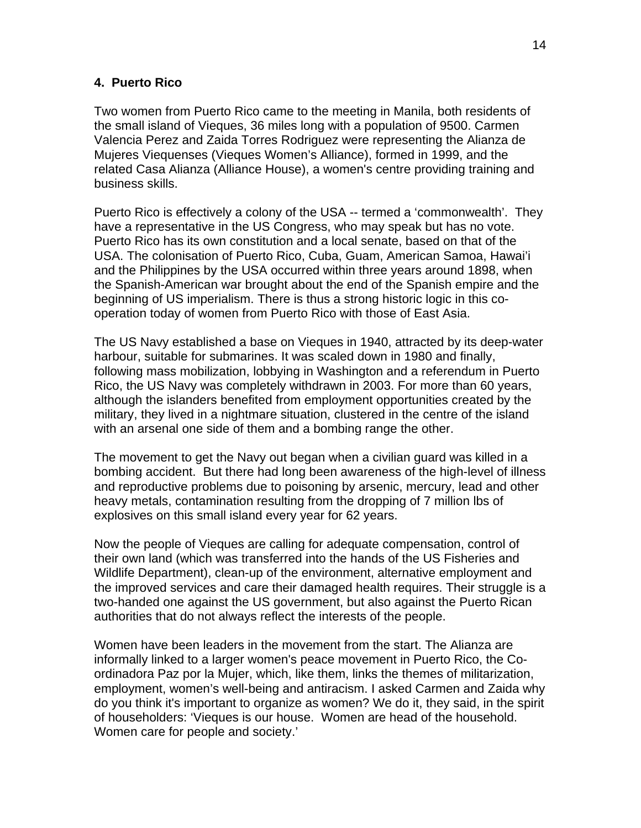## **4. Puerto Rico**

Two women from Puerto Rico came to the meeting in Manila, both residents of the small island of Vieques, 36 miles long with a population of 9500. Carmen Valencia Perez and Zaida Torres Rodriguez were representing the Alianza de Mujeres Viequenses (Vieques Women's Alliance), formed in 1999, and the related Casa Alianza (Alliance House), a women's centre providing training and business skills.

Puerto Rico is effectively a colony of the USA -- termed a 'commonwealth'. They have a representative in the US Congress, who may speak but has no vote. Puerto Rico has its own constitution and a local senate, based on that of the USA. The colonisation of Puerto Rico, Cuba, Guam, American Samoa, Hawai'i and the Philippines by the USA occurred within three years around 1898, when the Spanish-American war brought about the end of the Spanish empire and the beginning of US imperialism. There is thus a strong historic logic in this cooperation today of women from Puerto Rico with those of East Asia.

The US Navy established a base on Vieques in 1940, attracted by its deep-water harbour, suitable for submarines. It was scaled down in 1980 and finally, following mass mobilization, lobbying in Washington and a referendum in Puerto Rico, the US Navy was completely withdrawn in 2003. For more than 60 years, although the islanders benefited from employment opportunities created by the military, they lived in a nightmare situation, clustered in the centre of the island with an arsenal one side of them and a bombing range the other.

The movement to get the Navy out began when a civilian guard was killed in a bombing accident. But there had long been awareness of the high-level of illness and reproductive problems due to poisoning by arsenic, mercury, lead and other heavy metals, contamination resulting from the dropping of 7 million lbs of explosives on this small island every year for 62 years.

Now the people of Vieques are calling for adequate compensation, control of their own land (which was transferred into the hands of the US Fisheries and Wildlife Department), clean-up of the environment, alternative employment and the improved services and care their damaged health requires. Their struggle is a two-handed one against the US government, but also against the Puerto Rican authorities that do not always reflect the interests of the people.

Women have been leaders in the movement from the start. The Alianza are informally linked to a larger women's peace movement in Puerto Rico, the Coordinadora Paz por la Mujer, which, like them, links the themes of militarization, employment, women's well-being and antiracism. I asked Carmen and Zaida why do you think it's important to organize as women? We do it, they said, in the spirit of householders: 'Vieques is our house. Women are head of the household. Women care for people and society.'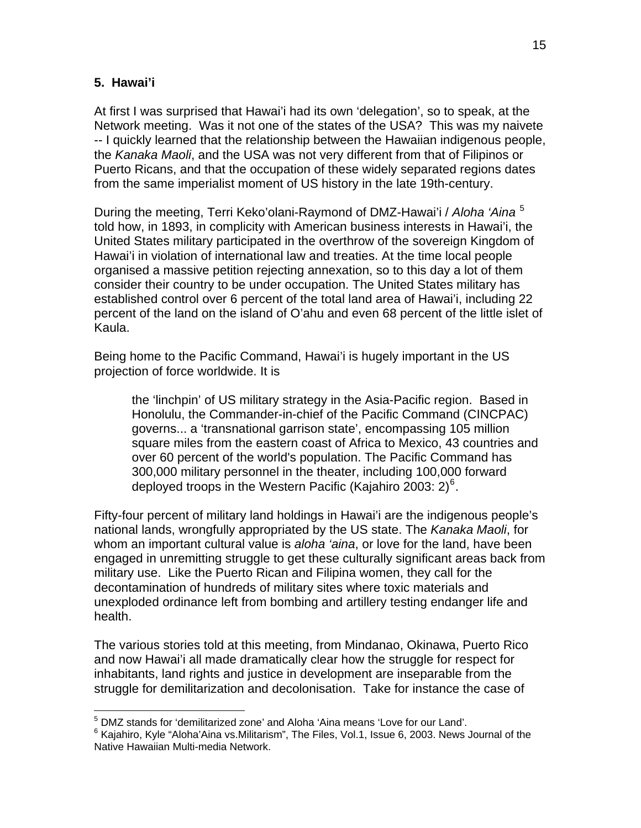## **5. Hawai'i**

At first I was surprised that Hawai'i had its own 'delegation', so to speak, at the Network meeting. Was it not one of the states of the USA? This was my naivete -- I quickly learned that the relationship between the Hawaiian indigenous people, the *Kanaka Maoli*, and the USA was not very different from that of Filipinos or Puerto Ricans, and that the occupation of these widely separated regions dates from the same imperialist moment of US history in the late 19th-century.

During the meeting, Terri Keko'olani-Raymond of DMZ-Hawai'i / *Aloha 'Aina* [5](#page-14-0) told how, in 1893, in complicity with American business interests in Hawai'i, the United States military participated in the overthrow of the sovereign Kingdom of Hawai'i in violation of international law and treaties. At the time local people organised a massive petition rejecting annexation, so to this day a lot of them consider their country to be under occupation. The United States military has established control over 6 percent of the total land area of Hawai'i, including 22 percent of the land on the island of O'ahu and even 68 percent of the little islet of Kaula.

Being home to the Pacific Command, Hawai'i is hugely important in the US projection of force worldwide. It is

the 'linchpin' of US military strategy in the Asia-Pacific region. Based in Honolulu, the Commander-in-chief of the Pacific Command (CINCPAC) governs... a 'transnational garrison state', encompassing 105 million square miles from the eastern coast of Africa to Mexico, 43 countries and over 60 percent of the world's population. The Pacific Command has 300,000 military personnel in the theater, including 100,000 forward deployed troops in the Western Pacific (Kajahiro 2003: 2) $^6$  $^6$ .

Fifty-four percent of military land holdings in Hawai'i are the indigenous people's national lands, wrongfully appropriated by the US state. The *Kanaka Maoli*, for whom an important cultural value is *aloha 'aina*, or love for the land, have been engaged in unremitting struggle to get these culturally significant areas back from military use. Like the Puerto Rican and Filipina women, they call for the decontamination of hundreds of military sites where toxic materials and unexploded ordinance left from bombing and artillery testing endanger life and health.

The various stories told at this meeting, from Mindanao, Okinawa, Puerto Rico and now Hawai'i all made dramatically clear how the struggle for respect for inhabitants, land rights and justice in development are inseparable from the struggle for demilitarization and decolonisation. Take for instance the case of

 $\overline{a}$ <sup>5</sup> DMZ stands for 'demilitarized zone' and Aloha 'Aina means 'Love for our Land'.

<span id="page-14-1"></span><span id="page-14-0"></span> $^6$  Kajahiro, Kyle "Aloha'Aina vs.Militarism", The Files, Vol.1, Issue 6, 2003. News Journal of the Native Hawaiian Multi-media Network.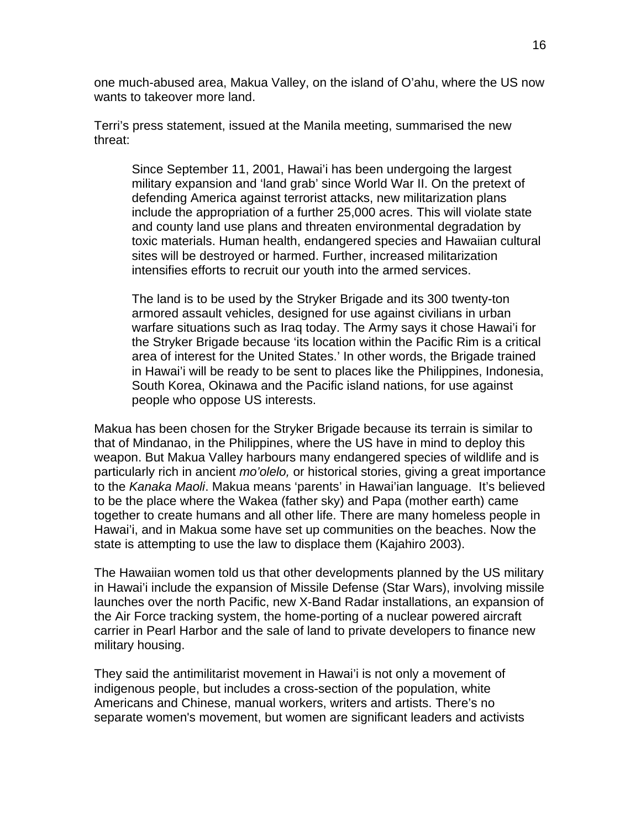one much-abused area, Makua Valley, on the island of O'ahu, where the US now wants to takeover more land.

Terri's press statement, issued at the Manila meeting, summarised the new threat:

Since September 11, 2001, Hawai'i has been undergoing the largest military expansion and 'land grab' since World War II. On the pretext of defending America against terrorist attacks, new militarization plans include the appropriation of a further 25,000 acres. This will violate state and county land use plans and threaten environmental degradation by toxic materials. Human health, endangered species and Hawaiian cultural sites will be destroyed or harmed. Further, increased militarization intensifies efforts to recruit our youth into the armed services.

The land is to be used by the Stryker Brigade and its 300 twenty-ton armored assault vehicles, designed for use against civilians in urban warfare situations such as Iraq today. The Army says it chose Hawai'i for the Stryker Brigade because 'its location within the Pacific Rim is a critical area of interest for the United States.' In other words, the Brigade trained in Hawai'i will be ready to be sent to places like the Philippines, Indonesia, South Korea, Okinawa and the Pacific island nations, for use against people who oppose US interests.

Makua has been chosen for the Stryker Brigade because its terrain is similar to that of Mindanao, in the Philippines, where the US have in mind to deploy this weapon. But Makua Valley harbours many endangered species of wildlife and is particularly rich in ancient *mo'olelo,* or historical stories, giving a great importance to the *Kanaka Maoli*. Makua means 'parents' in Hawai'ian language. It's believed to be the place where the Wakea (father sky) and Papa (mother earth) came together to create humans and all other life. There are many homeless people in Hawai'i, and in Makua some have set up communities on the beaches. Now the state is attempting to use the law to displace them (Kajahiro 2003).

The Hawaiian women told us that other developments planned by the US military in Hawai'i include the expansion of Missile Defense (Star Wars), involving missile launches over the north Pacific, new X-Band Radar installations, an expansion of the Air Force tracking system, the home-porting of a nuclear powered aircraft carrier in Pearl Harbor and the sale of land to private developers to finance new military housing.

They said the antimilitarist movement in Hawai'i is not only a movement of indigenous people, but includes a cross-section of the population, white Americans and Chinese, manual workers, writers and artists. There's no separate women's movement, but women are significant leaders and activists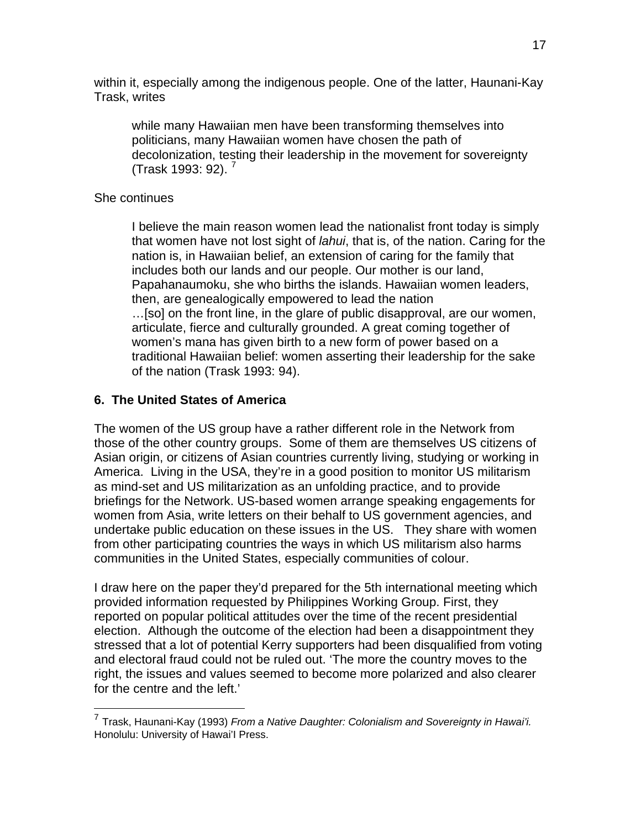within it, especially among the indigenous people. One of the latter, Haunani-Kay Trask, writes

while many Hawaiian men have been transforming themselves into politicians, many Hawaiian women have chosen the path of decolonization, testing their leadership in the movement for sovereignty (Trask 1993: 92). [7](#page-16-0)

# She continues

 $\overline{a}$ 

I believe the main reason women lead the nationalist front today is simply that women have not lost sight of *lahui*, that is, of the nation. Caring for the nation is, in Hawaiian belief, an extension of caring for the family that includes both our lands and our people. Our mother is our land, Papahanaumoku, she who births the islands. Hawaiian women leaders, then, are genealogically empowered to lead the nation …[so] on the front line, in the glare of public disapproval, are our women, articulate, fierce and culturally grounded. A great coming together of women's mana has given birth to a new form of power based on a traditional Hawaiian belief: women asserting their leadership for the sake of the nation (Trask 1993: 94).

# **6. The United States of America**

The women of the US group have a rather different role in the Network from those of the other country groups. Some of them are themselves US citizens of Asian origin, or citizens of Asian countries currently living, studying or working in America. Living in the USA, they're in a good position to monitor US militarism as mind-set and US militarization as an unfolding practice, and to provide briefings for the Network. US-based women arrange speaking engagements for women from Asia, write letters on their behalf to US government agencies, and undertake public education on these issues in the US. They share with women from other participating countries the ways in which US militarism also harms communities in the United States, especially communities of colour.

I draw here on the paper they'd prepared for the 5th international meeting which provided information requested by Philippines Working Group. First, they reported on popular political attitudes over the time of the recent presidential election. Although the outcome of the election had been a disappointment they stressed that a lot of potential Kerry supporters had been disqualified from voting and electoral fraud could not be ruled out. 'The more the country moves to the right, the issues and values seemed to become more polarized and also clearer for the centre and the left.'

<span id="page-16-0"></span><sup>7</sup> Trask, Haunani-Kay (1993) *From a Native Daughter: Colonialism and Sovereignty in Hawai'i.* Honolulu: University of Hawai'I Press.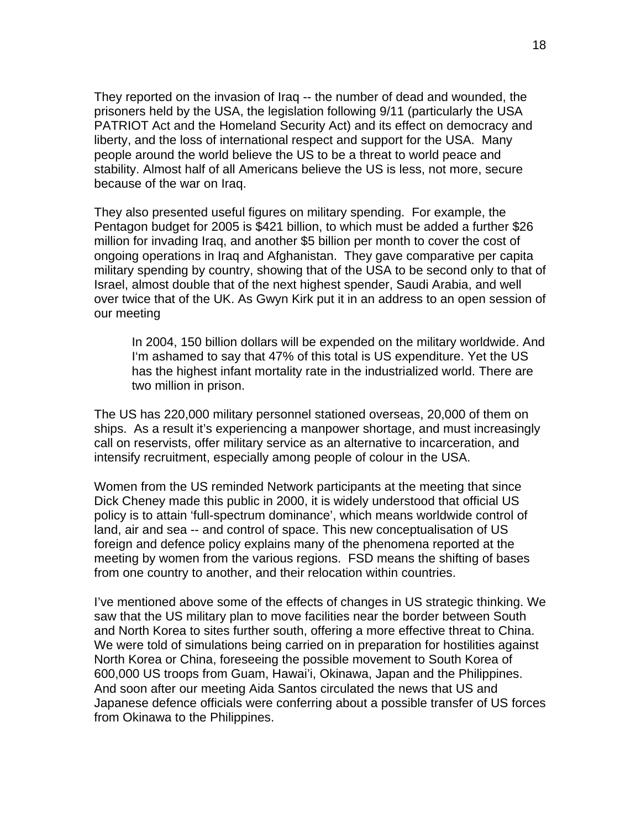They reported on the invasion of Iraq -- the number of dead and wounded, the prisoners held by the USA, the legislation following 9/11 (particularly the USA PATRIOT Act and the Homeland Security Act) and its effect on democracy and liberty, and the loss of international respect and support for the USA. Many people around the world believe the US to be a threat to world peace and stability. Almost half of all Americans believe the US is less, not more, secure because of the war on Iraq.

They also presented useful figures on military spending. For example, the Pentagon budget for 2005 is \$421 billion, to which must be added a further \$26 million for invading Iraq, and another \$5 billion per month to cover the cost of ongoing operations in Iraq and Afghanistan. They gave comparative per capita military spending by country, showing that of the USA to be second only to that of Israel, almost double that of the next highest spender, Saudi Arabia, and well over twice that of the UK. As Gwyn Kirk put it in an address to an open session of our meeting

In 2004, 150 billion dollars will be expended on the military worldwide. And I'm ashamed to say that 47% of this total is US expenditure. Yet the US has the highest infant mortality rate in the industrialized world. There are two million in prison.

The US has 220,000 military personnel stationed overseas, 20,000 of them on ships. As a result it's experiencing a manpower shortage, and must increasingly call on reservists, offer military service as an alternative to incarceration, and intensify recruitment, especially among people of colour in the USA.

Women from the US reminded Network participants at the meeting that since Dick Cheney made this public in 2000, it is widely understood that official US policy is to attain 'full-spectrum dominance', which means worldwide control of land, air and sea -- and control of space. This new conceptualisation of US foreign and defence policy explains many of the phenomena reported at the meeting by women from the various regions. FSD means the shifting of bases from one country to another, and their relocation within countries.

I've mentioned above some of the effects of changes in US strategic thinking. We saw that the US military plan to move facilities near the border between South and North Korea to sites further south, offering a more effective threat to China. We were told of simulations being carried on in preparation for hostilities against North Korea or China, foreseeing the possible movement to South Korea of 600,000 US troops from Guam, Hawai'i, Okinawa, Japan and the Philippines. And soon after our meeting Aida Santos circulated the news that US and Japanese defence officials were conferring about a possible transfer of US forces from Okinawa to the Philippines.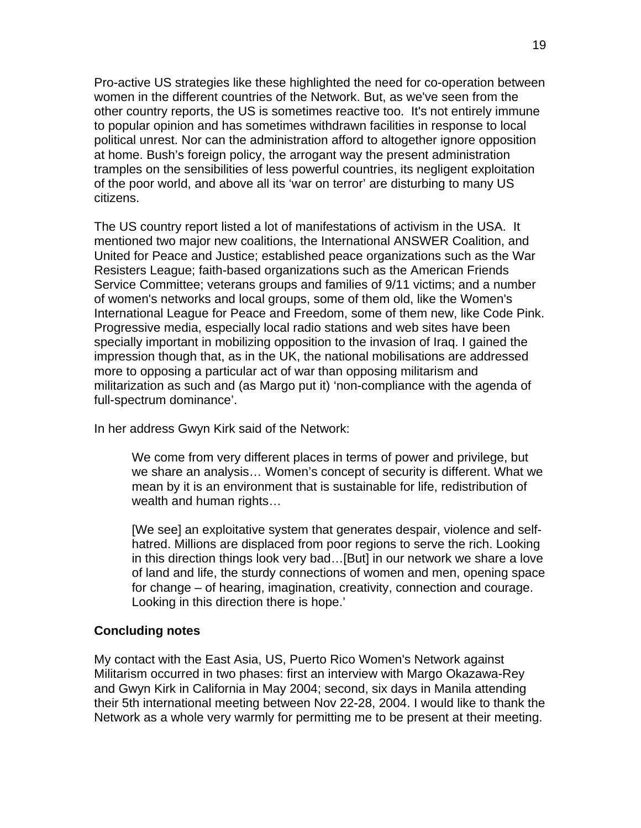Pro-active US strategies like these highlighted the need for co-operation between women in the different countries of the Network. But, as we've seen from the other country reports, the US is sometimes reactive too. It's not entirely immune to popular opinion and has sometimes withdrawn facilities in response to local political unrest. Nor can the administration afford to altogether ignore opposition at home. Bush's foreign policy, the arrogant way the present administration tramples on the sensibilities of less powerful countries, its negligent exploitation of the poor world, and above all its 'war on terror' are disturbing to many US citizens.

The US country report listed a lot of manifestations of activism in the USA. It mentioned two major new coalitions, the International ANSWER Coalition, and United for Peace and Justice; established peace organizations such as the War Resisters League; faith-based organizations such as the American Friends Service Committee; veterans groups and families of 9/11 victims; and a number of women's networks and local groups, some of them old, like the Women's International League for Peace and Freedom, some of them new, like Code Pink. Progressive media, especially local radio stations and web sites have been specially important in mobilizing opposition to the invasion of Iraq. I gained the impression though that, as in the UK, the national mobilisations are addressed more to opposing a particular act of war than opposing militarism and militarization as such and (as Margo put it) 'non-compliance with the agenda of full-spectrum dominance'.

In her address Gwyn Kirk said of the Network:

We come from very different places in terms of power and privilege, but we share an analysis… Women's concept of security is different. What we mean by it is an environment that is sustainable for life, redistribution of wealth and human rights…

[We see] an exploitative system that generates despair, violence and selfhatred. Millions are displaced from poor regions to serve the rich. Looking in this direction things look very bad…[But] in our network we share a love of land and life, the sturdy connections of women and men, opening space for change – of hearing, imagination, creativity, connection and courage. Looking in this direction there is hope.'

# **Concluding notes**

My contact with the East Asia, US, Puerto Rico Women's Network against Militarism occurred in two phases: first an interview with Margo Okazawa-Rey and Gwyn Kirk in California in May 2004; second, six days in Manila attending their 5th international meeting between Nov 22-28, 2004. I would like to thank the Network as a whole very warmly for permitting me to be present at their meeting.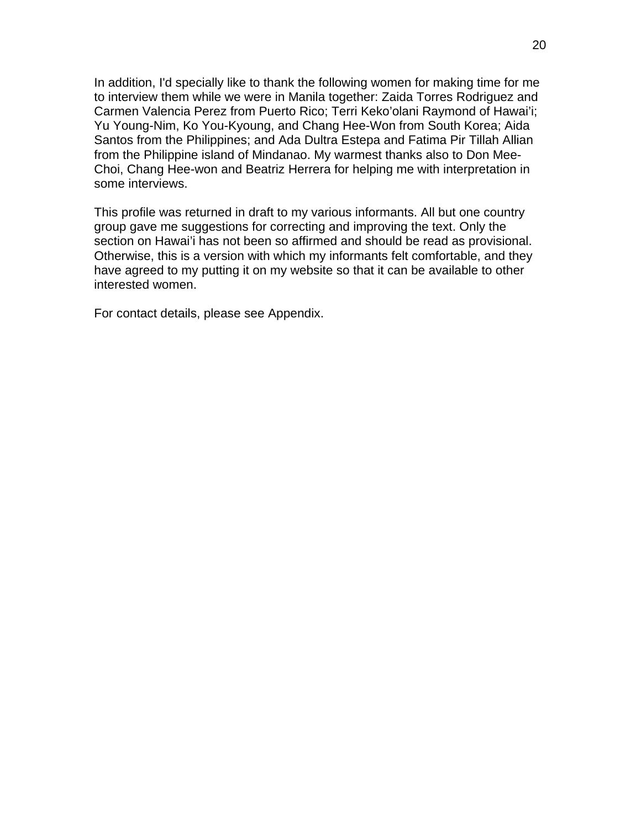In addition, I'd specially like to thank the following women for making time for me to interview them while we were in Manila together: Zaida Torres Rodriguez and Carmen Valencia Perez from Puerto Rico; Terri Keko'olani Raymond of Hawai'i; Yu Young-Nim, Ko You-Kyoung, and Chang Hee-Won from South Korea; Aida Santos from the Philippines; and Ada Dultra Estepa and Fatima Pir Tillah Allian from the Philippine island of Mindanao. My warmest thanks also to Don Mee-Choi, Chang Hee-won and Beatriz Herrera for helping me with interpretation in some interviews.

This profile was returned in draft to my various informants. All but one country group gave me suggestions for correcting and improving the text. Only the section on Hawai'i has not been so affirmed and should be read as provisional. Otherwise, this is a version with which my informants felt comfortable, and they have agreed to my putting it on my website so that it can be available to other interested women.

For contact details, please see Appendix.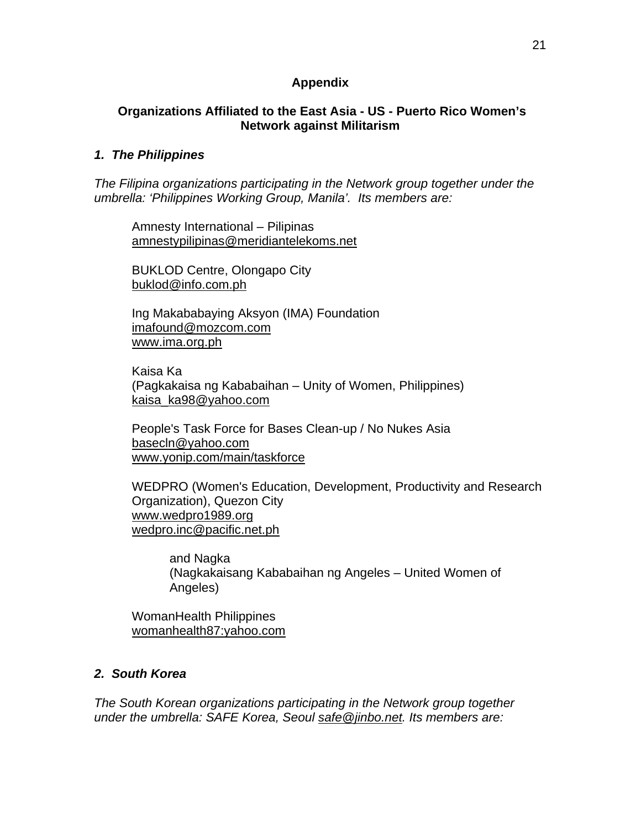# **Appendix**

# **Organizations Affiliated to the East Asia - US - Puerto Rico Women's Network against Militarism**

## *1. The Philippines*

*The Filipina organizations participating in the Network group together under the umbrella: 'Philippines Working Group, Manila'. Its members are:* 

Amnesty International – Pilipinas [amnestypilipinas@meridiantelekoms.net](mailto:amnestypilipinas@meridiantelekoms.net)

BUKLOD Centre, Olongapo City [buklod@info.com.ph](mailto:buklod@info.com.ph)

Ing Makababaying Aksyon (IMA) Foundation [imafound@mozcom.com](mailto:imafound@mozcom.com) [www.ima.org.ph](http://www.ima.org.ph/)

Kaisa Ka (Pagkakaisa ng Kababaihan – Unity of Women, Philippines) kaisa\_ka98@yahoo.com

People's Task Force for Bases Clean-up / No Nukes Asia [basecln@yahoo.com](mailto:basecln@yahoo.com) [www.yonip.com/main/taskforce](http://www.yonip.com/main/taskforce)

WEDPRO (Women's Education, Development, Productivity and Research Organization), Quezon City [www.wedpro1989.org](http://www.wedpro1989.org/) [wedpro.inc@pacific.net.ph](mailto:wedpro.inc@pacific.net.ph)

and Nagka (Nagkakaisang Kababaihan ng Angeles – United Women of Angeles)

WomanHealth Philippines womanhealth87:yahoo.com

# *2. South Korea*

*The South Korean organizations participating in the Network group together under the umbrella: SAFE Korea, Seoul safe@jinbo.net. Its members are:*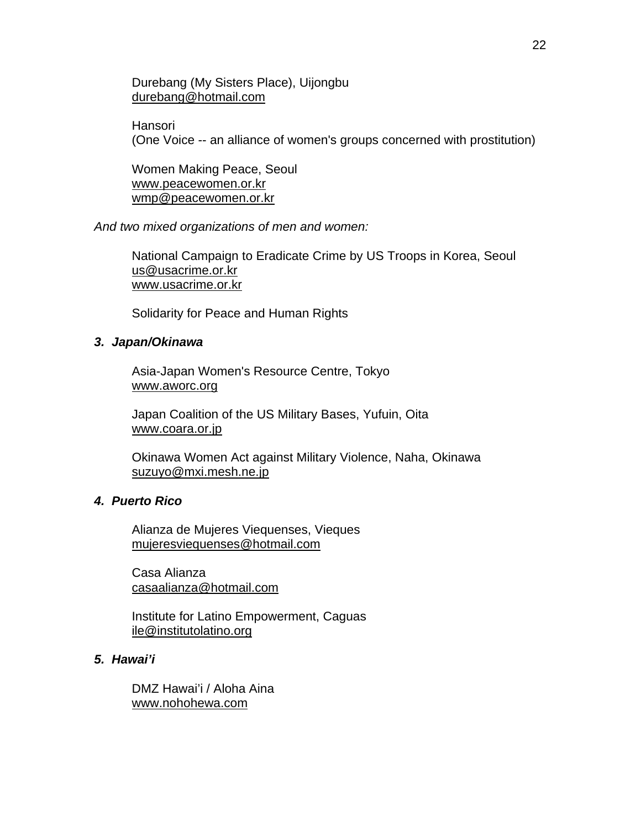## Durebang (My Sisters Place), Uijongbu [durebang@hotmail.com](mailto:durebang@hotmail.com)

**Hansori** 

(One Voice -- an alliance of women's groups concerned with prostitution)

Women Making Peace, Seoul [www.peacewomen.or.kr](http://www.peacewomen.or.kr/) [wmp@peacewomen.or.kr](mailto:wmp@peacewomen.or.kr)

*And two mixed organizations of men and women:* 

National Campaign to Eradicate Crime by US Troops in Korea, Seoul [us@usacrime.or.kr](mailto:us@usacrime.or.kr) www.usacrime.or.kr

Solidarity for Peace and Human Rights

### *3. Japan/Okinawa*

Asia-Japan Women's Resource Centre, Tokyo www.aworc.org

Japan Coalition of the US Military Bases, Yufuin, Oita www.coara.or.jp

Okinawa Women Act against Military Violence, Naha, Okinawa [suzuyo@mxi.mesh.ne.jp](mailto:suzuyo@mxi.mesh.ne.jp)

### *4. Puerto Rico*

Alianza de Mujeres Viequenses, Vieques [mujeresviequenses@hotmail.com](mailto:mujeresviequenses@hotmail.com)

Casa Alianza casaalianza@hotmail.com

Institute for Latino Empowerment, Caguas ile@institutolatino.org

#### *5. Hawai'i*

DMZ Hawai'i / Aloha Aina www.nohohewa.com